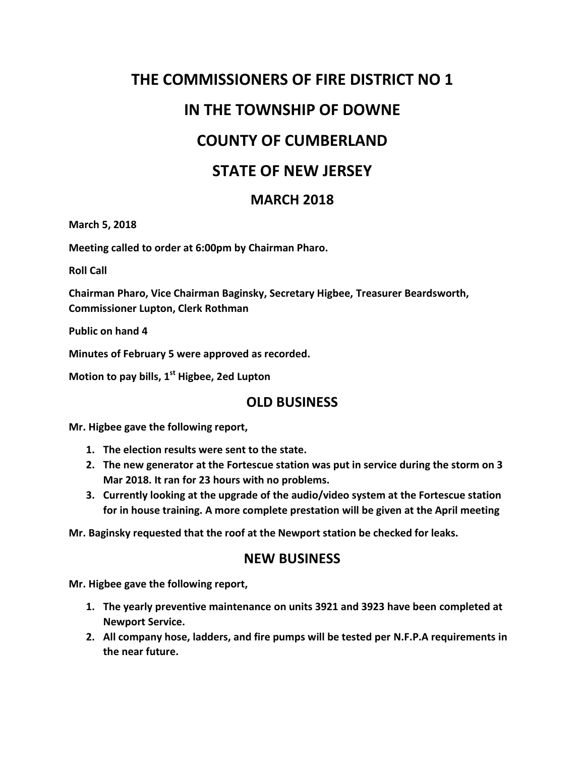# **THE COMMISSIONERS OF FIRE DISTRICT NO 1 IN THE TOWNSHIP OF DOWNE COUNTY OF CUMBERLAND STATE OF NEW JERSEY**

### **MARCH 2018**

**March 5, 2018**

**Meeting called to order at 6:00pm by Chairman Pharo.**

**Roll Call**

**Chairman Pharo, Vice Chairman Baginsky, Secretary Higbee, Treasurer Beardsworth, Commissioner Lupton, Clerk Rothman**

**Public on hand 4**

**Minutes of February 5 were approved as recorded.**

**Motion to pay bills, 1st Higbee, 2ed Lupton**

#### **OLD BUSINESS**

**Mr. Higbee gave the following report,**

- **1. The election results were sent to the state.**
- **2. The new generator at the Fortescue station was put in service during the storm on 3 Mar 2018. It ran for 23 hours with no problems.**
- **3. Currently looking at the upgrade of the audio/video system at the Fortescue station for in house training. A more complete prestation will be given at the April meeting**

**Mr. Baginsky requested that the roof at the Newport station be checked for leaks.**

#### **NEW BUSINESS**

**Mr. Higbee gave the following report,**

- **1. The yearly preventive maintenance on units 3921 and 3923 have been completed at Newport Service.**
- **2. All company hose, ladders, and fire pumps will be tested per N.F.P.A requirements in the near future.**